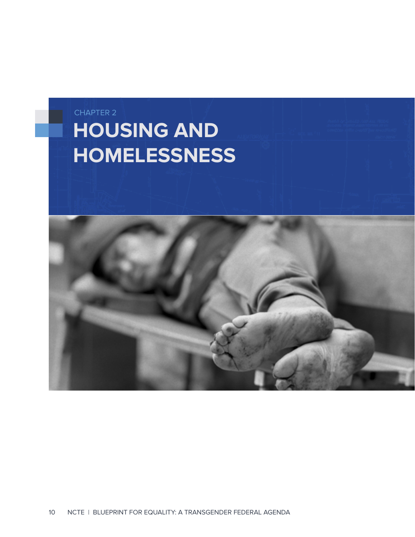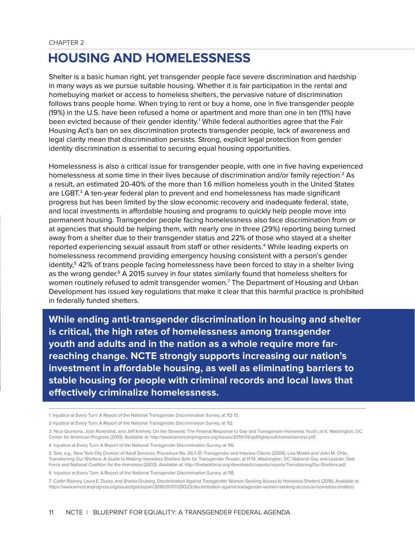## **HOUSING AND HOMELESSNESS**

Shelter is a basic human right, yet transgender people face severe discrimination and hardship in many ways as we pursue suitable housing. Whether it is fair participation in the rental and homebuying market or access to homeless shelters, the pervasive nature of discrimination follows trans people home. When trying to rent or buy a home, one in five transgender people (19%) in the U.S. have been refused a home or apartment and more than one in ten (11%) have been evicted because of their gender identity.<sup>1</sup> While federal authorities agree that the Fair Housing Act's ban on sex discrimination protects transgender people, lack of awareness and legal clarity mean that discrimination persists. Strong, explicit legal protection from gender identity discrimination is essential to securing equal housing opportunities.

Homelessness is also a critical issue for transgender people, with one in five having experienced homelessness at some time in their lives because of discrimination and/or family rejection.<sup>2</sup> As a result, an estimated 20-40% of the more than 1.6 million homeless youth in the United States are LGBT.<sup>3</sup> A ten-year federal plan to prevent and end homelessness has made significant progress but has been limited by the slow economic recovery and inadequate federal, state, and local investments in affordable housing and programs to quickly help people move into permanent housing. Transgender people facing homelessness also face discrimination from or at agencies that should be helping them, with nearly one in three (29%) reporting being turned away from a shelter due to their transgender status and 22% of those who stayed at a shelter reported experiencing sexual assault from staff or other residents.<sup>4</sup> While leading experts on homelessness recommend providing emergency housing consistent with a person's gender identity,<sup>5</sup> 42% of trans people facing homelessness have been forced to stay in a shelter living as the wrong gender.<sup>6</sup> A 2015 survey in four states similarly found that homeless shelters for women routinely refused to admit transgender women.<sup>7</sup> The Department of Housing and Urban Development has issued key regulations that make it clear that this harmful practice is prohibited in federally funded shelters.

**While ending anti-transgender discrimination in housing and shelter is critical, the high rates of homelessness among transgender youth and adults and in the nation as a whole require more farreaching change. NCTE strongly supports increasing our nation's investment in affordable housing, as well as eliminating barriers to stable housing for people with criminal records and local laws that effectively criminalize homelessness.**

- 1 Injustice at Every Turn: A Report of the National Transgender Discrimination Survey, at 112-13.
- 2 Injustice at Every Turn: A Report of the National Transgender Discrimination Survey, at 112.

<sup>3</sup> Nico Quintana, Josh Rosenthal, and Jeff Krehely, On the Streeets: The Federal Response to Gay and Transgender Homeless Youth, at 6. Washington, DC: Center for American Progress (2010). Available at: http://www.americanprogress.org/issues/2010/06/pdf/lgbtyouthhomelessness.pdf.

<sup>4</sup> Injustice at Every Turn: A Report of the National Transgender Discrimination Survey, at 116.

<sup>5</sup> See, e.g., New York City Division of Adult Services, Procedure No. 06-1-31: Transgender and Intersex Clients (2006); Lisa Mottet and John M. Ohle, Transitioning Our Shelters: A Guide to Making Homeless Shelters Safe for Transgender People, at 11-14. Washington, DC: National Gay and Lesbian Task Force and National Coalition for the Homeless (2003). Available at: http://thetaskforce.org/downloads/reports/reports/TransitioningOur-Shelters.pdf.

<sup>6</sup> Injustice at Every Turn: A Report of the National Transgender Discrimination Survey, at 118.

<sup>7</sup> Caitlin Rooney, Laura E. Durso, and Sharita Gruberg. Discrimination Against Transgender Women Seeking Access to Homeless Shelters (2016). Available at: https://www.americanprogress.org/issues/lgbt/report/2016/01/07/128323/discrimination-against-transgender-women-seeking-access-to-homeless-shelters/.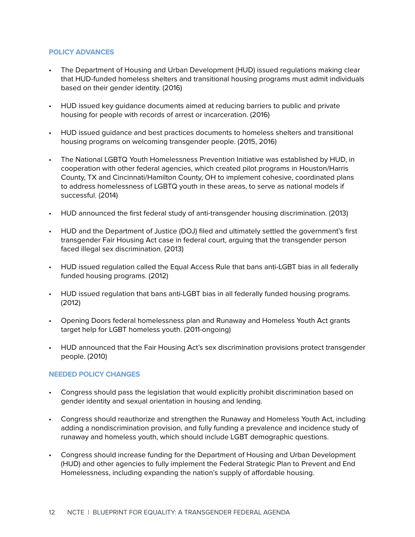## **POLICY ADVANCES**

- The Department of Housing and Urban Development (HUD) issued regulations making clear that HUD-funded homeless shelters and transitional housing programs must admit individuals based on their gender identity. (2016)
- HUD issued key guidance documents aimed at reducing barriers to public and private housing for people with records of arrest or incarceration. (2016)
- HUD issued guidance and best practices documents to homeless shelters and transitional housing programs on welcoming transgender people. (2015, 2016)
- The National LGBTQ Youth Homelessness Prevention Initiative was established by HUD, in cooperation with other federal agencies, which created pilot programs in Houston/Harris County, TX and Cincinnati/Hamilton County, OH to implement cohesive, coordinated plans to address homelessness of LGBTQ youth in these areas, to serve as national models if successful. (2014)
- HUD announced the first federal study of anti-transgender housing discrimination. (2013)
- HUD and the Department of Justice (DOJ) filed and ultimately settled the government's first transgender Fair Housing Act case in federal court, arguing that the transgender person faced illegal sex discrimination. (2013)
- HUD issued regulation called the Equal Access Rule that bans anti-LGBT bias in all federally funded housing programs. (2012)
- HUD issued regulation that bans anti-LGBT bias in all federally funded housing programs. (2012)
- Opening Doors federal homelessness plan and Runaway and Homeless Youth Act grants target help for LGBT homeless youth. (2011-ongoing)
- HUD announced that the Fair Housing Act's sex discrimination provisions protect transgender people. (2010)

## **NEEDED POLICY CHANGES**

- Congress should pass the legislation that would explicitly prohibit discrimination based on gender identity and sexual orientation in housing and lending.
- Congress should reauthorize and strengthen the Runaway and Homeless Youth Act, including adding a nondiscrimination provision, and fully funding a prevalence and incidence study of runaway and homeless youth, which should include LGBT demographic questions.
- Congress should increase funding for the Department of Housing and Urban Development (HUD) and other agencies to fully implement the Federal Strategic Plan to Prevent and End Homelessness, including expanding the nation's supply of affordable housing.